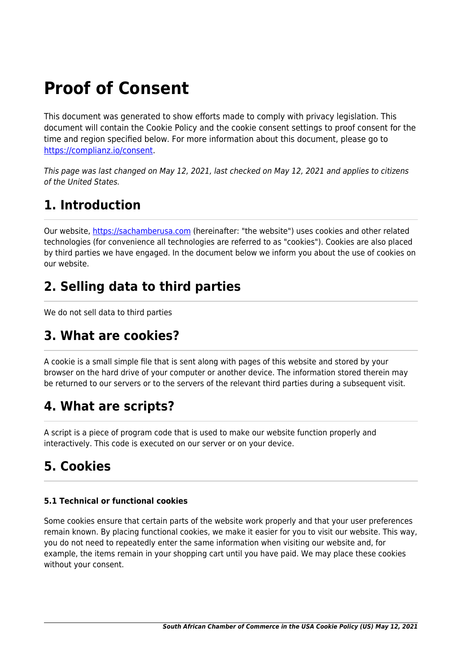# **Proof of Consent**

This document was generated to show efforts made to comply with privacy legislation. This document will contain the Cookie Policy and the cookie consent settings to proof consent for the time and region specified below. For more information about this document, please go to <https://complianz.io/consent>.

This page was last changed on May 12, 2021, last checked on May 12, 2021 and applies to citizens of the United States.

### **1. Introduction**

Our website, <https://sachamberusa.com>(hereinafter: "the website") uses cookies and other related technologies (for convenience all technologies are referred to as "cookies"). Cookies are also placed by third parties we have engaged. In the document below we inform you about the use of cookies on our website.

# **2. Selling data to third parties**

We do not sell data to third parties

### **3. What are cookies?**

A cookie is a small simple file that is sent along with pages of this website and stored by your browser on the hard drive of your computer or another device. The information stored therein may be returned to our servers or to the servers of the relevant third parties during a subsequent visit.

# **4. What are scripts?**

A script is a piece of program code that is used to make our website function properly and interactively. This code is executed on our server or on your device.

# **5. Cookies**

#### **5.1 Technical or functional cookies**

Some cookies ensure that certain parts of the website work properly and that your user preferences remain known. By placing functional cookies, we make it easier for you to visit our website. This way, you do not need to repeatedly enter the same information when visiting our website and, for example, the items remain in your shopping cart until you have paid. We may place these cookies without your consent.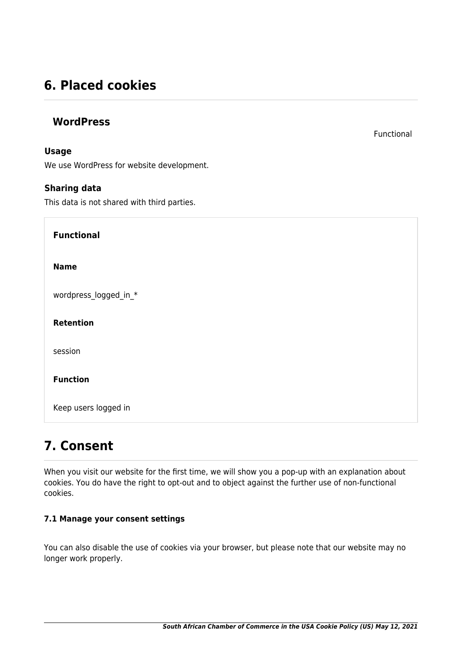### **6. Placed cookies**

#### **WordPress**

#### **Usage**

We use WordPress for website development.

#### **Sharing data**

This data is not shared with third parties.

**Functional Name** wordpress\_logged\_in \* **Retention** session **Function** Keep users logged in

### **7. Consent**

When you visit our website for the first time, we will show you a pop-up with an explanation about cookies. You do have the right to opt-out and to object against the further use of non-functional cookies.

#### **7.1 Manage your consent settings**

You can also disable the use of cookies via your browser, but please note that our website may no longer work properly.

Functional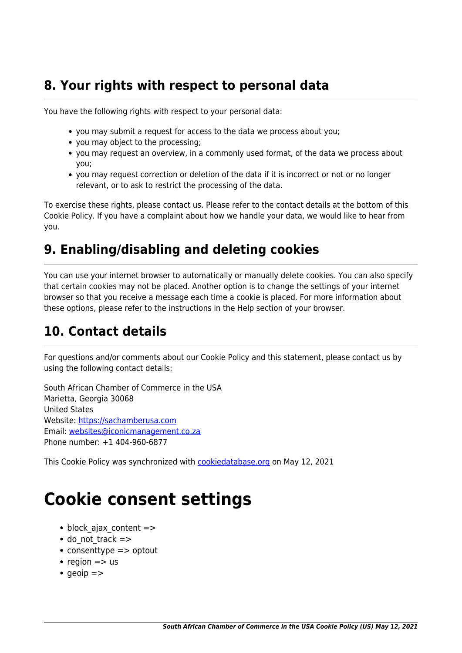### **8. Your rights with respect to personal data**

You have the following rights with respect to your personal data:

- you may submit a request for access to the data we process about you;
- you may object to the processing;
- you may request an overview, in a commonly used format, of the data we process about you;
- you may request correction or deletion of the data if it is incorrect or not or no longer relevant, or to ask to restrict the processing of the data.

To exercise these rights, please contact us. Please refer to the contact details at the bottom of this Cookie Policy. If you have a complaint about how we handle your data, we would like to hear from you.

# **9. Enabling/disabling and deleting cookies**

You can use your internet browser to automatically or manually delete cookies. You can also specify that certain cookies may not be placed. Another option is to change the settings of your internet browser so that you receive a message each time a cookie is placed. For more information about these options, please refer to the instructions in the Help section of your browser.

# **10. Contact details**

For questions and/or comments about our Cookie Policy and this statement, please contact us by using the following contact details:

South African Chamber of Commerce in the USA Marietta, Georgia 30068 United States Website:<https://sachamberusa.com> Email: [websites@iconicmanagement.co.za](#page--1-0) Phone number: +1 404-960-6877

This Cookie Policy was synchronized with **cookiedatabase.org** on May 12, 2021

# **Cookie consent settings**

- $\bullet$  block ajax content  $=$  >
- $\bullet$  do not track  $=$  >
- consenttype => optout
- region  $\Rightarrow$  us
- $q$  aeoip  $=$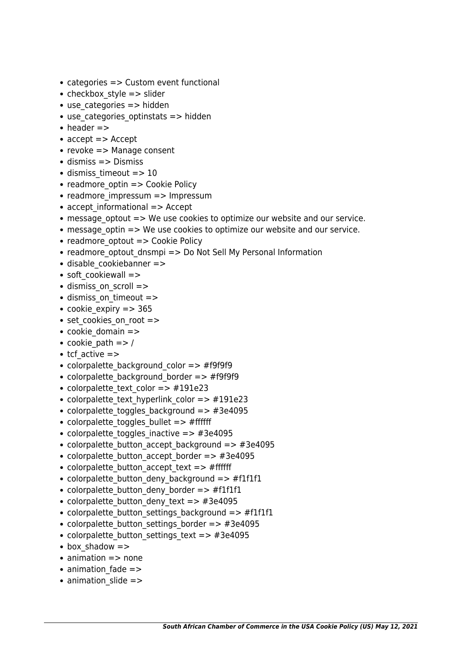- categories => Custom event functional
- checkbox style  $=$   $>$  slider
- $\bullet$  use categories  $\Rightarrow$  hidden
- $\bullet$  use categories optinstats  $\Rightarrow$  hidden
- $\bullet$  header  $\Rightarrow$
- accept => Accept
- $\bullet$  revoke => Manage consent
- $\bullet$  dismiss  $\Rightarrow$  Dismiss
- $\bullet$  dismiss timeout => 10
- readmore optin  $\Rightarrow$  Cookie Policy
- readmore impressum => Impressum
- accept informational => Accept
- message optout => We use cookies to optimize our website and our service.
- message optin => We use cookies to optimize our website and our service.
- readmore optout => Cookie Policy
- readmore\_optout\_dnsmpi => Do Not Sell My Personal Information
- disable cookiebanner =>
- soft cookiewall =>
- dismiss on scroll =>
- dismiss\_on\_timeout =>
- cookie expiry  $=$  > 365
- set cookies on root =>
- cookie domain =>
- cookie path  $=> /$
- $\cdot$  tcf active =>
- colorpalette background color => #f9f9f9
- colorpalette background border => #f9f9f9
- colorpalette text color => #191e23
- colorpalette text hyperlink color => #191e23
- colorpalette toggles background => #3e4095
- colorpalette toggles bullet  $=$  > #ffffff
- colorpalette toggles inactive  $\Rightarrow$  #3e4095
- colorpalette button accept background => #3e4095
- colorpalette button accept border => #3e4095
- colorpalette button accept text => #ffffff
- colorpalette button deny background => #f1f1f1
- colorpalette button deny border => #f1f1f1
- colorpalette button deny text => #3e4095
- colorpalette button settings background => #f1f1f1
- colorpalette button settings border => #3e4095
- colorpalette button settings text => #3e4095
- box shadow =>
- $\bullet$  animation  $\Rightarrow$  none
- animation fade =>
- animation slide =>